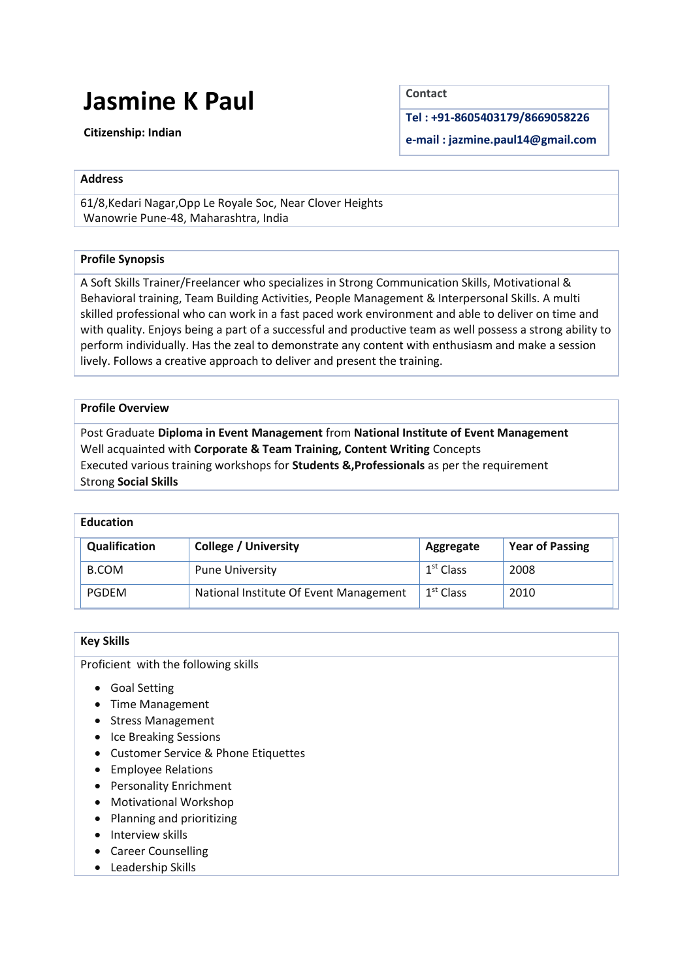# **Jasmine K Paul**

**Citizenship: Indian**

**Contact**

**Tel : +91-8605403179/8669058226**

**e-mail : jazmine.paul14@gmail.com**

## **Address**

61/8,Kedari Nagar,Opp Le Royale Soc, Near Clover Heights Wanowrie Pune-48, Maharashtra, India

# **Profile Synopsis**

A Soft Skills Trainer/Freelancer who specializes in Strong Communication Skills, Motivational & Behavioral training, Team Building Activities, People Management & Interpersonal Skills. A multi skilled professional who can work in a fast paced work environment and able to deliver on time and with quality. Enjoys being a part of a successful and productive team as well possess a strong ability to perform individually. Has the zeal to demonstrate any content with enthusiasm and make a session lively. Follows a creative approach to deliver and present the training.

# **Profile Overview**

 Post Graduate **Diploma in Event Management** from **National Institute of Event Management** Well acquainted with **Corporate & Team Training, Content Writing** Concepts Executed various training workshops for **Students &,Professionals** as per the requirement Strong **Social Skills**

# **Education**

| Qualification | <b>College / University</b>            | Aggregate             | <b>Year of Passing</b> |
|---------------|----------------------------------------|-----------------------|------------------------|
| <b>B.COM</b>  | <b>Pune University</b>                 | $1st$ Class           | 2008                   |
| <b>PGDEM</b>  | National Institute Of Event Management | 1 <sup>st</sup> Class | 2010                   |

## **Key Skills**

Proficient with the following skills

- Goal Setting
- Time Management
- Stress Management
- Ice Breaking Sessions
- Customer Service & Phone Etiquettes
- Employee Relations
- Personality Enrichment
- Motivational Workshop
- Planning and prioritizing
- Interview skills
- Career Counselling
- Leadership Skills